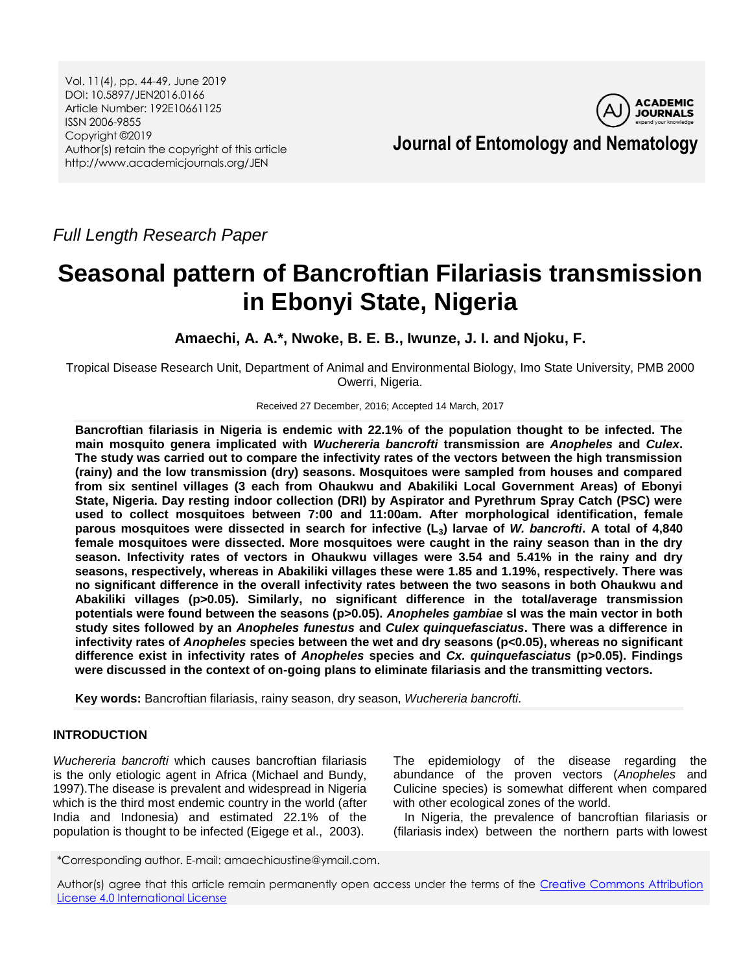Vol. 11(4), pp. 44-49, June 2019 DOI: 10.5897/JEN2016.0166 Article Number: 192E10661125 ISSN 2006-9855 Copyright ©2019 Author(s) retain the copyright of this article http://www.academicjournals.org/JEN



**Journal of Entomology and Nematology**

*Full Length Research Paper*

# **Seasonal pattern of Bancroftian Filariasis transmission in Ebonyi State, Nigeria**

**Amaechi, A. A.\*, Nwoke, B. E. B., Iwunze, J. I. and Njoku, F.**

Tropical Disease Research Unit, Department of Animal and Environmental Biology, Imo State University, PMB 2000 Owerri, Nigeria.

Received 27 December, 2016; Accepted 14 March, 2017

**Bancroftian filariasis in Nigeria is endemic with 22.1% of the population thought to be infected. The main mosquito genera implicated with** *Wuchereria bancrofti* **transmission are** *Anopheles* **and** *Culex***. The study was carried out to compare the infectivity rates of the vectors between the high transmission (rainy) and the low transmission (dry) seasons. Mosquitoes were sampled from houses and compared from six sentinel villages (3 each from Ohaukwu and Abakiliki Local Government Areas) of Ebonyi State, Nigeria. Day resting indoor collection (DRI) by Aspirator and Pyrethrum Spray Catch (PSC) were used to collect mosquitoes between 7:00 and 11:00am. After morphological identification, female parous mosquitoes were dissected in search for infective (L3) larvae of** *W. bancrofti***. A total of 4,840 female mosquitoes were dissected. More mosquitoes were caught in the rainy season than in the dry season. Infectivity rates of vectors in Ohaukwu villages were 3.54 and 5.41% in the rainy and dry seasons, respectively, whereas in Abakiliki villages these were 1.85 and 1.19%, respectively. There was no significant difference in the overall infectivity rates between the two seasons in both Ohaukwu and Abakiliki villages (p>0.05). Similarly, no significant difference in the total/average transmission potentials were found between the seasons (p>0.05).** *Anopheles gambiae* **sl was the main vector in both study sites followed by an** *Anopheles funestus* **and** *Culex quinquefasciatus***. There was a difference in infectivity rates of** *Anopheles* **species between the wet and dry seasons (p<0.05), whereas no significant difference exist in infectivity rates of** *Anopheles* **species and** *Cx. quinquefasciatus* **(p>0.05). Findings were discussed in the context of on-going plans to eliminate filariasis and the transmitting vectors.**

**Key words:** Bancroftian filariasis, rainy season, dry season, *Wuchereria bancrofti*.

# **INTRODUCTION**

*Wuchereria bancrofti* which causes bancroftian filariasis is the only etiologic agent in Africa (Michael and Bundy, 1997).The disease is prevalent and widespread in Nigeria which is the third most endemic country in the world (after India and Indonesia) and estimated 22.1% of the population is thought to be infected (Eigege et al., 2003).

The epidemiology of the disease regarding the abundance of the proven vectors (*Anopheles* and Culicine species) is somewhat different when compared with other ecological zones of the world.

In Nigeria, the prevalence of bancroftian filariasis or (filariasis index) between the northern parts with lowest

\*Corresponding author. E-mail: amaechiaustine@ymail.com.

Author(s) agree that this article remain permanently open access under the terms of the Creative Commons Attribution [License 4.0 International License](http://creativecommons.org/licenses/by/4.0/deed.en_US)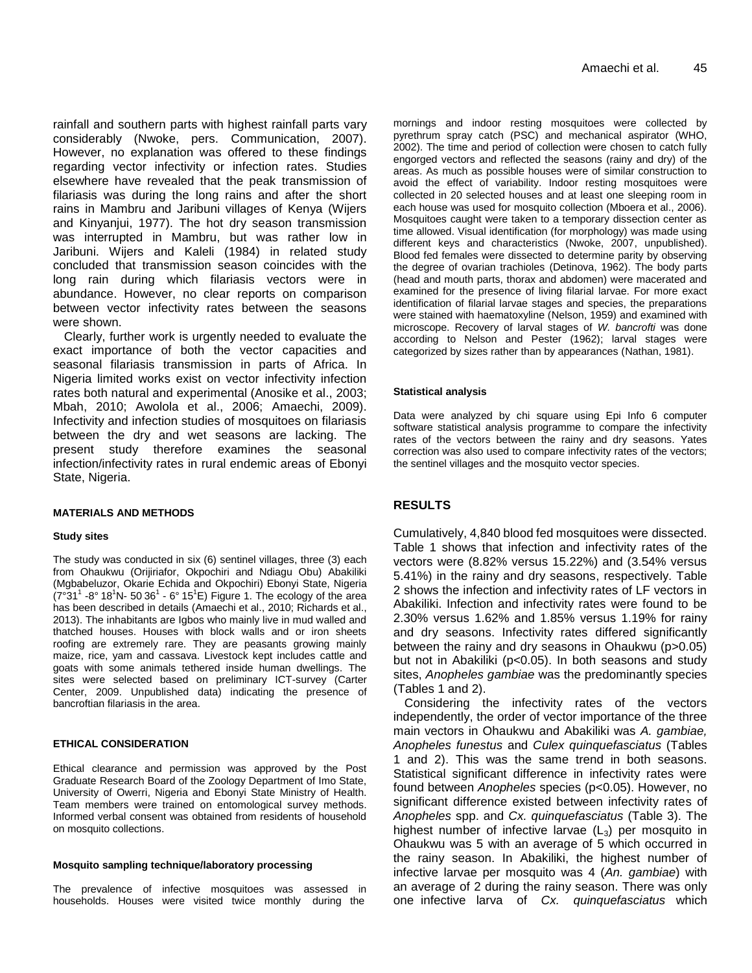rainfall and southern parts with highest rainfall parts vary considerably (Nwoke, pers. Communication, 2007). However, no explanation was offered to these findings regarding vector infectivity or infection rates. Studies elsewhere have revealed that the peak transmission of filariasis was during the long rains and after the short rains in Mambru and Jaribuni villages of Kenya (Wijers and Kinyanjui, 1977). The hot dry season transmission was interrupted in Mambru, but was rather low in Jaribuni. Wijers and Kaleli (1984) in related study concluded that transmission season coincides with the long rain during which filariasis vectors were in abundance. However, no clear reports on comparison between vector infectivity rates between the seasons were shown.

Clearly, further work is urgently needed to evaluate the exact importance of both the vector capacities and seasonal filariasis transmission in parts of Africa. In Nigeria limited works exist on vector infectivity infection rates both natural and experimental (Anosike et al., 2003; Mbah, 2010; Awolola et al., 2006; Amaechi, 2009). Infectivity and infection studies of mosquitoes on filariasis between the dry and wet seasons are lacking. The present study therefore examines the seasonal infection/infectivity rates in rural endemic areas of Ebonyi State, Nigeria.

#### **MATERIALS AND METHODS**

#### **Study sites**

The study was conducted in six (6) sentinel villages, three (3) each from Ohaukwu (Orijiriafor, Okpochiri and Ndiagu Obu) Abakiliki (Mgbabeluzor, Okarie Echida and Okpochiri) Ebonyi State, Nigeria  $(7°31' - 8°18'N - 5036' - 6°15'E)$  Figure 1. The ecology of the area has been described in details (Amaechi et al., 2010; Richards et al., 2013). The inhabitants are Igbos who mainly live in mud walled and thatched houses. Houses with block walls and or iron sheets roofing are extremely rare. They are peasants growing mainly maize, rice, yam and cassava. Livestock kept includes cattle and goats with some animals tethered inside human dwellings. The sites were selected based on preliminary ICT-survey (Carter Center, 2009. Unpublished data) indicating the presence of bancroftian filariasis in the area.

#### **ETHICAL CONSIDERATION**

Ethical clearance and permission was approved by the Post Graduate Research Board of the Zoology Department of Imo State, University of Owerri, Nigeria and Ebonyi State Ministry of Health. Team members were trained on entomological survey methods. Informed verbal consent was obtained from residents of household on mosquito collections.

#### **Mosquito sampling technique/laboratory processing**

The prevalence of infective mosquitoes was assessed in households. Houses were visited twice monthly during the

mornings and indoor resting mosquitoes were collected by pyrethrum spray catch (PSC) and mechanical aspirator (WHO, 2002). The time and period of collection were chosen to catch fully engorged vectors and reflected the seasons (rainy and dry) of the areas. As much as possible houses were of similar construction to avoid the effect of variability. Indoor resting mosquitoes were collected in 20 selected houses and at least one sleeping room in each house was used for mosquito collection (Mboera et al., 2006). Mosquitoes caught were taken to a temporary dissection center as time allowed. Visual identification (for morphology) was made using different keys and characteristics (Nwoke, 2007, unpublished). Blood fed females were dissected to determine parity by observing the degree of ovarian trachioles (Detinova, 1962). The body parts (head and mouth parts, thorax and abdomen) were macerated and examined for the presence of living filarial larvae. For more exact identification of filarial larvae stages and species, the preparations were stained with haematoxyline (Nelson, 1959) and examined with microscope. Recovery of larval stages of *W. bancrofti* was done according to Nelson and Pester (1962); larval stages were categorized by sizes rather than by appearances (Nathan, 1981).

#### **Statistical analysis**

Data were analyzed by chi square using Epi Info 6 computer software statistical analysis programme to compare the infectivity rates of the vectors between the rainy and dry seasons. Yates correction was also used to compare infectivity rates of the vectors; the sentinel villages and the mosquito vector species.

### **RESULTS**

Cumulatively, 4,840 blood fed mosquitoes were dissected. Table 1 shows that infection and infectivity rates of the vectors were (8.82% versus 15.22%) and (3.54% versus 5.41%) in the rainy and dry seasons, respectively. Table 2 shows the infection and infectivity rates of LF vectors in Abakiliki. Infection and infectivity rates were found to be 2.30% versus 1.62% and 1.85% versus 1.19% for rainy and dry seasons. Infectivity rates differed significantly between the rainy and dry seasons in Ohaukwu (p>0.05) but not in Abakiliki (p<0.05). In both seasons and study sites, *Anopheles gambiae* was the predominantly species (Tables 1 and 2).

Considering the infectivity rates of the vectors independently, the order of vector importance of the three main vectors in Ohaukwu and Abakiliki was *A. gambiae, Anopheles funestus* and *Culex quinquefasciatus* (Tables 1 and 2). This was the same trend in both seasons. Statistical significant difference in infectivity rates were found between *Anopheles* species (p<0.05). However, no significant difference existed between infectivity rates of *Anopheles* spp. and *Cx. quinquefasciatus* (Table 3). The highest number of infective larvae  $(L_3)$  per mosquito in Ohaukwu was 5 with an average of 5 which occurred in the rainy season. In Abakiliki, the highest number of infective larvae per mosquito was 4 (*An. gambiae*) with an average of 2 during the rainy season. There was only one infective larva of *Cx. quinquefasciatus* which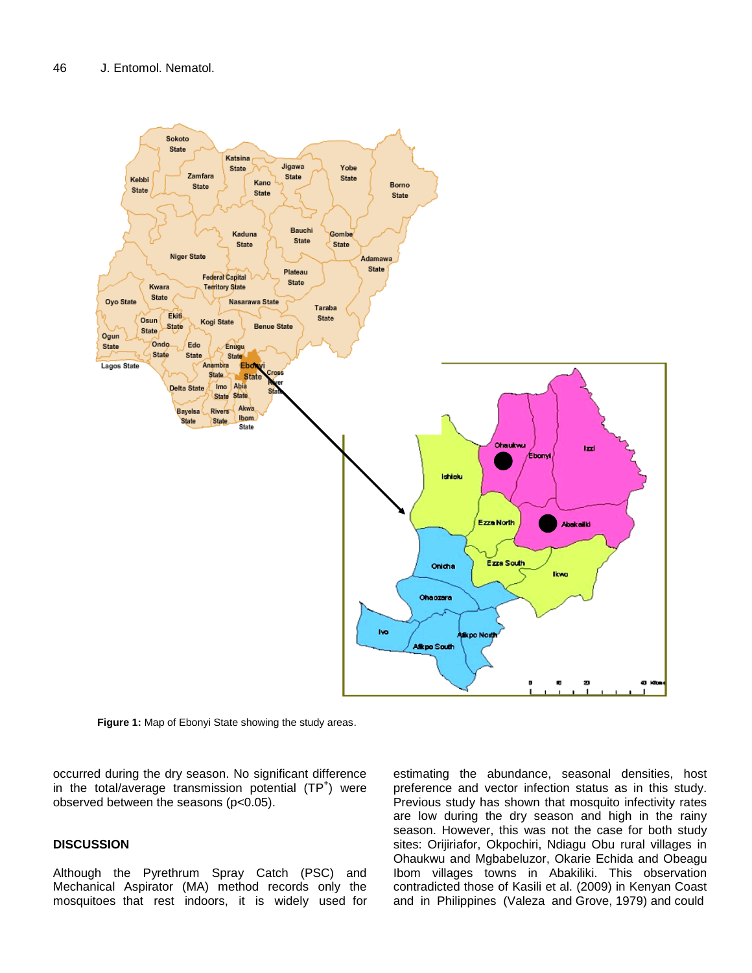

Figure 1: Map of Ebonyi State showing the study areas **Figure 1:** Map of Ebonyi State showing the study areas.

occurred during the dry season. No significant difference in the total/average transmission potential  $(TP<sup>+</sup>)$  were observed between the seasons (p<0.05).

# **DISCUSSION**

Although the Pyrethrum Spray Catch (PSC) and Mechanical Aspirator (MA) method records only the mosquitoes that rest indoors, it is widely used for estimating the abundance, seasonal densities, host preference and vector infection status as in this study. Previous study has shown that mosquito infectivity rates are low during the dry season and high in the rainy season. However, this was not the case for both study sites: Orijiriafor, Okpochiri, Ndiagu Obu rural villages in Ohaukwu and Mgbabeluzor, Okarie Echida and Obeagu Ibom villages towns in Abakiliki. This observation contradicted those of Kasili et al. (2009) in Kenyan Coast and in Philippines (Valeza and Grove, 1979) and could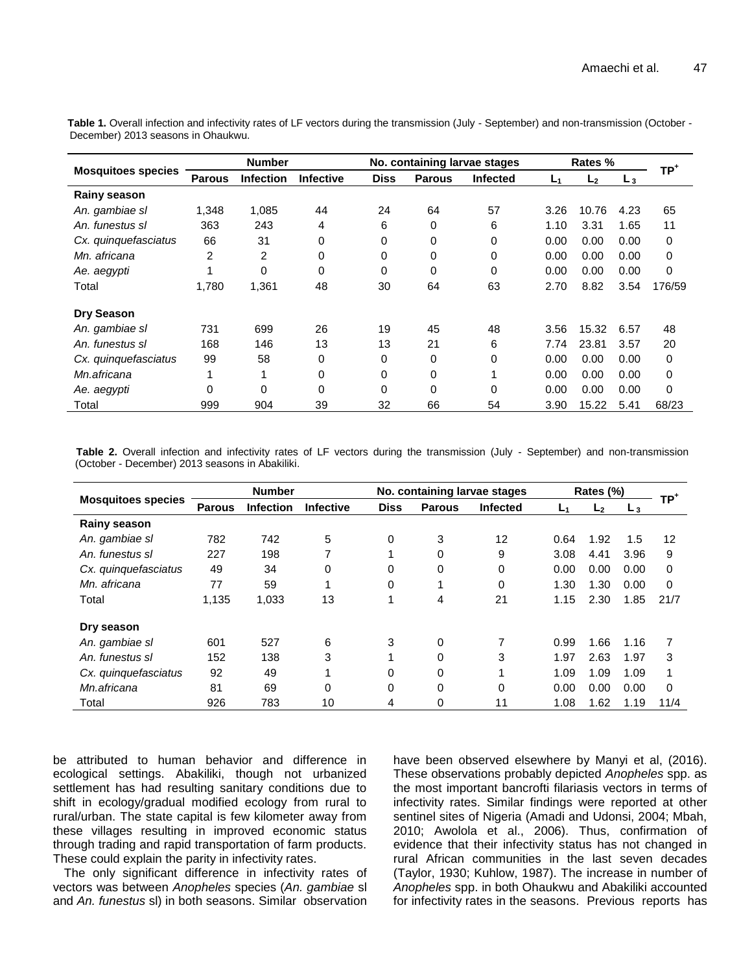|                           | <b>Number</b> |                  |                  | No. containing larvae stages |               |                 | Rates % |                |       | TP <sup>+</sup> |
|---------------------------|---------------|------------------|------------------|------------------------------|---------------|-----------------|---------|----------------|-------|-----------------|
| <b>Mosquitoes species</b> | <b>Parous</b> | <b>Infection</b> | <b>Infective</b> | <b>Diss</b>                  | <b>Parous</b> | <b>Infected</b> | L1      | L <sub>2</sub> | $L_3$ |                 |
| Rainy season              |               |                  |                  |                              |               |                 |         |                |       |                 |
| An. gambiae sl            | 1,348         | 1,085            | 44               | 24                           | 64            | 57              | 3.26    | 10.76          | 4.23  | 65              |
| An. funestus sl           | 363           | 243              | 4                | 6                            | 0             | 6               | 1.10    | 3.31           | 1.65  | 11              |
| Cx. quinquefasciatus      | 66            | 31               | 0                | 0                            | 0             | 0               | 0.00    | 0.00           | 0.00  | 0               |
| Mn. africana              | 2             | 2                | 0                | 0                            | 0             | 0               | 0.00    | 0.00           | 0.00  | $\mathbf 0$     |
| Ae. aegypti               |               | $\mathbf{0}$     | $\Omega$         | 0                            | 0             | $\Omega$        | 0.00    | 0.00           | 0.00  | $\Omega$        |
| Total                     | 1,780         | 1,361            | 48               | 30                           | 64            | 63              | 2.70    | 8.82           | 3.54  | 176/59          |
| <b>Dry Season</b>         |               |                  |                  |                              |               |                 |         |                |       |                 |
| An. gambiae sl            | 731           | 699              | 26               | 19                           | 45            | 48              | 3.56    | 15.32          | 6.57  | 48              |
| An, funestus sl           | 168           | 146              | 13               | 13                           | 21            | 6               | 7.74    | 23.81          | 3.57  | 20              |
| Cx. quinquefasciatus      | 99            | 58               | 0                | 0                            | 0             | 0               | 0.00    | 0.00           | 0.00  | 0               |
| Mn.africana               | 1             |                  | 0                | 0                            | 0             |                 | 0.00    | 0.00           | 0.00  | $\mathbf 0$     |
| Ae. aegypti               | $\Omega$      | $\mathbf{0}$     | 0                | 0                            | 0             | 0               | 0.00    | 0.00           | 0.00  | 0               |
| Total                     | 999           | 904              | 39               | 32                           | 66            | 54              | 3.90    | 15.22          | 5.41  | 68/23           |

Table 1. Overall infection and infectivity rates of LF vectors during the transmission (July - September) and non-transmission (October -December) 2013 seasons in Ohaukwu.

 **Table 2.** Overall infection and infectivity rates of LF vectors during the transmission (July - September) and non-transmission (October - December) 2013 seasons in Abakiliki.

|                           | <b>Number</b> |                  |                  | No. containing larvae stages |               |          | Rates (%)      |                |      | TP†         |
|---------------------------|---------------|------------------|------------------|------------------------------|---------------|----------|----------------|----------------|------|-------------|
| <b>Mosquitoes species</b> | <b>Parous</b> | <b>Infection</b> | <b>Infective</b> | <b>Diss</b>                  | <b>Parous</b> | Infected | L <sub>1</sub> | L <sub>2</sub> | Lз   |             |
| <b>Rainy season</b>       |               |                  |                  |                              |               |          |                |                |      |             |
| An. gambiae sl            | 782           | 742              | 5                | 0                            | 3             | 12       | 0.64           | 1.92           | 1.5  | 12          |
| An. funestus sl           | 227           | 198              | 7                | 1                            | 0             | 9        | 3.08           | 4.41           | 3.96 | 9           |
| Cx. quinquefasciatus      | 49            | 34               | 0                | 0                            | 0             | 0        | 0.00           | 0.00           | 0.00 | $\mathbf 0$ |
| Mn. africana              | 77            | 59               |                  | 0                            | 1             | 0        | 1.30           | 1.30           | 0.00 | $\Omega$    |
| Total                     | 1,135         | 1,033            | 13               | 1                            | 4             | 21       | 1.15           | 2.30           | 1.85 | 21/7        |
| Dry season                |               |                  |                  |                              |               |          |                |                |      |             |
| An. gambiae sl            | 601           | 527              | 6                | 3                            | 0             | 7        | 0.99           | 1.66           | 1.16 | 7           |
| An. funestus sl           | 152           | 138              | 3                | 1                            | 0             | 3        | 1.97           | 2.63           | 1.97 | 3           |
| Cx. quinquefasciatus      | 92            | 49               |                  | 0                            | 0             |          | 1.09           | 1.09           | 1.09 | 1           |
| Mn.africana               | 81            | 69               | 0                | 0                            | 0             | 0        | 0.00           | 0.00           | 0.00 | $\Omega$    |
| Total                     | 926           | 783              | 10               | 4                            | 0             | 11       | 1.08           | 1.62           | 1.19 | 11/4        |

be attributed to human behavior and difference in ecological settings. Abakiliki, though not urbanized settlement has had resulting sanitary conditions due to shift in ecology/gradual modified ecology from rural to rural/urban. The state capital is few kilometer away from these villages resulting in improved economic status through trading and rapid transportation of farm products. These could explain the parity in infectivity rates.

The only significant difference in infectivity rates of vectors was between *Anopheles* species (*An. gambiae* sl and *An. funestus* sl) in both seasons. Similar observation have been observed elsewhere by Manyi et al, (2016). These observations probably depicted *Anopheles* spp. as the most important bancrofti filariasis vectors in terms of infectivity rates. Similar findings were reported at other sentinel sites of Nigeria (Amadi and Udonsi, 2004; Mbah, 2010; Awolola et al., 2006). Thus, confirmation of evidence that their infectivity status has not changed in rural African communities in the last seven decades (Taylor, 1930; Kuhlow, 1987). The increase in number of *Anopheles* spp. in both Ohaukwu and Abakiliki accounted for infectivity rates in the seasons. Previous reports has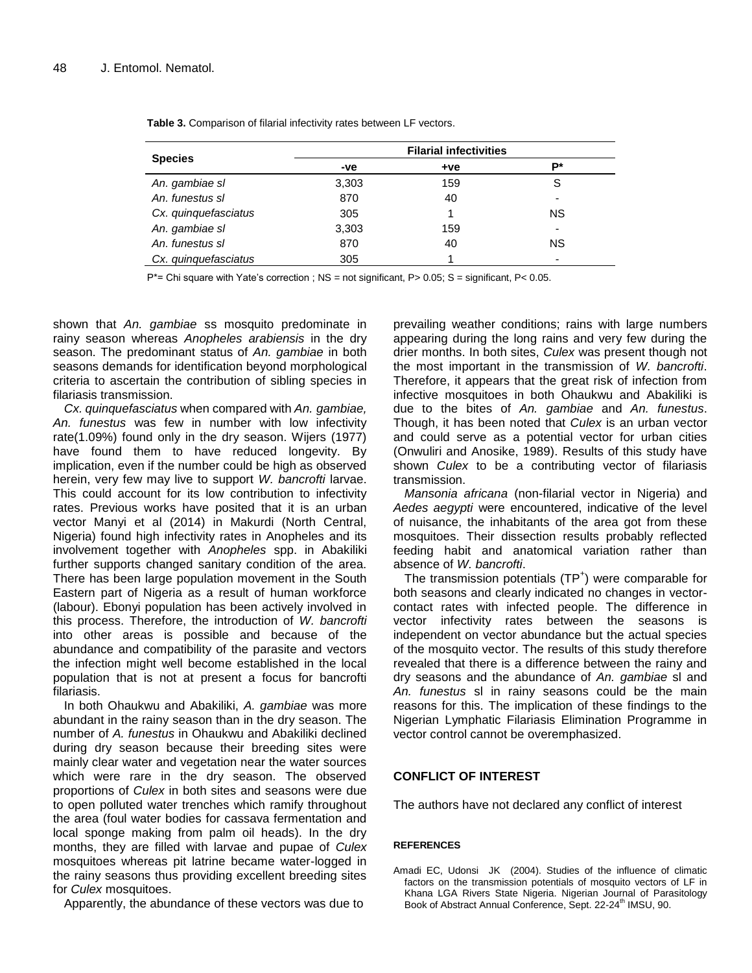|                      |       | <b>Filarial infectivities</b> |                          |
|----------------------|-------|-------------------------------|--------------------------|
| <b>Species</b>       | -ve   | $+ve$                         | р∗                       |
| An. gambiae sl       | 3,303 | 159                           | S                        |
| An. funestus sl      | 870   | 40                            | -                        |
| Cx. quinquefasciatus | 305   |                               | ΝS                       |
| An. gambiae sl       | 3,303 | 159                           | -                        |
| An. funestus sl      | 870   | 40                            | <b>NS</b>                |
| Cx. quinquefasciatus | 305   |                               | $\overline{\phantom{0}}$ |

**Table 3.** Comparison of filarial infectivity rates between LF vectors.

P\*= Chi square with Yate's correction ; NS = not significant, P> 0.05; S = significant, P< 0.05.

shown that *An. gambiae* ss mosquito predominate in rainy season whereas *Anopheles arabiensis* in the dry season. The predominant status of *An. gambiae* in both seasons demands for identification beyond morphological criteria to ascertain the contribution of sibling species in filariasis transmission.

*Cx. quinquefasciatus* when compared with *An. gambiae, An. funestus* was few in number with low infectivity rate(1.09%) found only in the dry season. Wijers (1977) have found them to have reduced longevity. By implication, even if the number could be high as observed herein, very few may live to support *W. bancrofti* larvae. This could account for its low contribution to infectivity rates. Previous works have posited that it is an urban vector Manyi et al (2014) in Makurdi (North Central, Nigeria) found high infectivity rates in Anopheles and its involvement together with *Anopheles* spp. in Abakiliki further supports changed sanitary condition of the area. There has been large population movement in the South Eastern part of Nigeria as a result of human workforce (labour). Ebonyi population has been actively involved in this process. Therefore, the introduction of *W. bancrofti* into other areas is possible and because of the abundance and compatibility of the parasite and vectors the infection might well become established in the local population that is not at present a focus for bancrofti filariasis.

In both Ohaukwu and Abakiliki, *A. gambiae* was more abundant in the rainy season than in the dry season. The number of *A. funestus* in Ohaukwu and Abakiliki declined during dry season because their breeding sites were mainly clear water and vegetation near the water sources which were rare in the dry season. The observed proportions of *Culex* in both sites and seasons were due to open polluted water trenches which ramify throughout the area (foul water bodies for cassava fermentation and local sponge making from palm oil heads). In the dry months, they are filled with larvae and pupae of *Culex* mosquitoes whereas pit latrine became water-logged in the rainy seasons thus providing excellent breeding sites for *Culex* mosquitoes.

Apparently, the abundance of these vectors was due to

prevailing weather conditions; rains with large numbers appearing during the long rains and very few during the drier months. In both sites, *Culex* was present though not the most important in the transmission of *W. bancrofti*. Therefore, it appears that the great risk of infection from infective mosquitoes in both Ohaukwu and Abakiliki is due to the bites of *An. gambiae* and *An. funestus*. Though, it has been noted that *Culex* is an urban vector and could serve as a potential vector for urban cities (Onwuliri and Anosike, 1989). Results of this study have shown *Culex* to be a contributing vector of filariasis transmission.

*Mansonia africana* (non-filarial vector in Nigeria) and *Aedes aegypti* were encountered, indicative of the level of nuisance, the inhabitants of the area got from these mosquitoes. Their dissection results probably reflected feeding habit and anatomical variation rather than absence of *W. bancrofti*.

The transmission potentials (TP<sup>+</sup>) were comparable for both seasons and clearly indicated no changes in vectorcontact rates with infected people. The difference in vector infectivity rates between the seasons is independent on vector abundance but the actual species of the mosquito vector. The results of this study therefore revealed that there is a difference between the rainy and dry seasons and the abundance of *An. gambiae* sl and *An. funestus* sl in rainy seasons could be the main reasons for this. The implication of these findings to the Nigerian Lymphatic Filariasis Elimination Programme in vector control cannot be overemphasized.

## **CONFLICT OF INTEREST**

The authors have not declared any conflict of interest

## **REFERENCES**

Amadi EC, Udonsi JK (2004). Studies of the influence of climatic factors on the transmission potentials of mosquito vectors of LF in Khana LGA Rivers State Nigeria. Nigerian Journal of Parasitology Book of Abstract Annual Conference, Sept. 22-24<sup>th</sup> IMSU, 90.